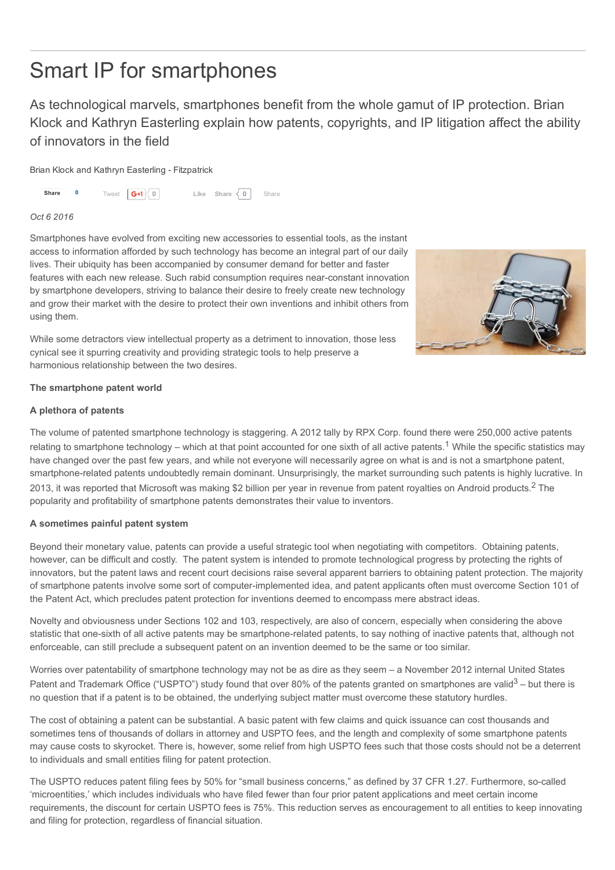# Smart IP for smartphones

As technological marvels, smartphones benefit from the whole gamut of IP protection. Brian Klock and Kathryn Easterling explain how patents, copyrights, and IP litigation affect the ability of innovators in the field

Brian Klock and Kathryn Easterling - Fitzpatrick



#### *Oct 6 2016*

Smartphones have evolved from exciting new accessories to essential tools, as the instant access to information afforded by such technology has become an integral part of our daily lives. Their ubiquity has been accompanied by consumer demand for better and faster features with each new release. Such rabid consumption requires near-constant innovation by smartphone developers, striving to balance their desire to freely create new technology and grow their market with the desire to protect their own inventions and inhibit others from using them.

While some detractors view intellectual property as a detriment to innovation, those less cynical see it spurring creativity and providing strategic tools to help preserve a harmonious relationship between the two desires.

# The smartphone patent world

### A plethora of patents

The volume of patented smartphone technology is staggering. A 2012 tally by RPX Corp. found there were 250,000 active patents relating to smartphone technology – which at that point accounted for one sixth of all active patents.<sup>1</sup> While the specific statistics may have changed over the past few years, and while not everyone will necessarily agree on what is and is not a smartphone patent, smartphone-related patents undoubtedly remain dominant. Unsurprisingly, the market surrounding such patents is highly lucrative. In 2013, it was reported that Microsoft was making \$2 billion per year in revenue from patent royalties on Android products.<sup>2</sup> The popularity and profitability of smartphone patents demonstrates their value to inventors.

### A sometimes painful patent system

Beyond their monetary value, patents can provide a useful strategic tool when negotiating with competitors. Obtaining patents, however, can be difficult and costly. The patent system is intended to promote technological progress by protecting the rights of innovators, but the patent laws and recent court decisions raise several apparent barriers to obtaining patent protection. The majority of smartphone patents involve some sort of computerimplemented idea, and patent applicants often must overcome Section 101 of the Patent Act, which precludes patent protection for inventions deemed to encompass mere abstract ideas.

Novelty and obviousness under Sections 102 and 103, respectively, are also of concern, especially when considering the above statistic that one-sixth of all active patents may be smartphone-related patents, to say nothing of inactive patents that, although not enforceable, can still preclude a subsequent patent on an invention deemed to be the same or too similar.

Worries over patentability of smartphone technology may not be as dire as they seem – a November 2012 internal United States Patent and Trademark Office ("USPTO") study found that over 80% of the patents granted on smartphones are valid<sup>3</sup> – but there is no question that if a patent is to be obtained, the underlying subject matter must overcome these statutory hurdles.

The cost of obtaining a patent can be substantial. A basic patent with few claims and quick issuance can cost thousands and sometimes tens of thousands of dollars in attorney and USPTO fees, and the length and complexity of some smartphone patents may cause costs to skyrocket. There is, however, some relief from high USPTO fees such that those costs should not be a deterrent to individuals and small entities filing for patent protection.

The USPTO reduces patent filing fees by 50% for "small business concerns," as defined by 37 CFR 1.27. Furthermore, socalled 'microentities,' which includes individuals who have filed fewer than four prior patent applications and meet certain income requirements, the discount for certain USPTO fees is 75%. This reduction serves as encouragement to all entities to keep innovating and filing for protection, regardless of financial situation.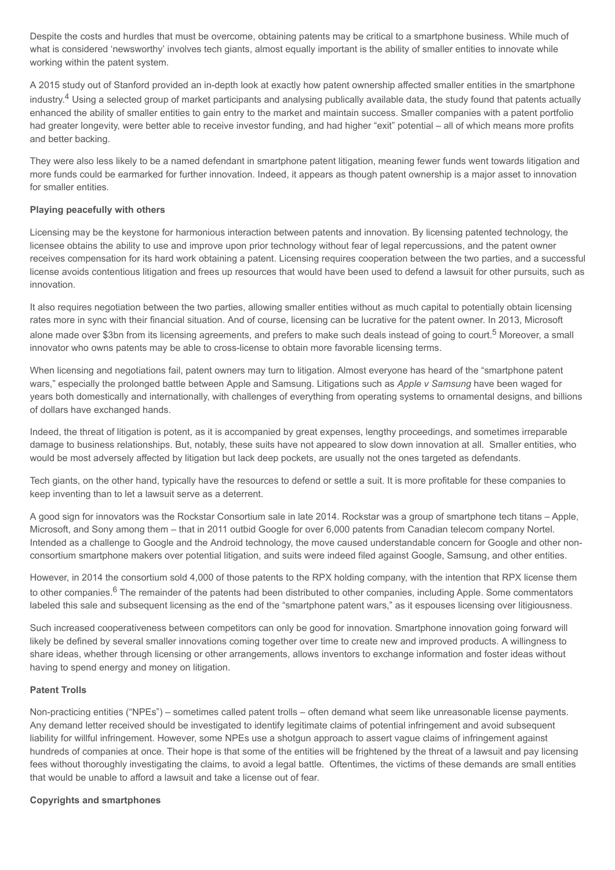Despite the costs and hurdles that must be overcome, obtaining patents may be critical to a smartphone business. While much of what is considered 'newsworthy' involves tech giants, almost equally important is the ability of smaller entities to innovate while working within the patent system.

A 2015 study out of Stanford provided an in-depth look at exactly how patent ownership affected smaller entities in the smartphone industry.<sup>4</sup> Using a selected group of market participants and analysing publically available data, the study found that patents actually enhanced the ability of smaller entities to gain entry to the market and maintain success. Smaller companies with a patent portfolio had greater longevity, were better able to receive investor funding, and had higher "exit" potential – all of which means more profits and better backing.

They were also less likely to be a named defendant in smartphone patent litigation, meaning fewer funds went towards litigation and more funds could be earmarked for further innovation. Indeed, it appears as though patent ownership is a major asset to innovation for smaller entities.

## Playing peacefully with others

Licensing may be the keystone for harmonious interaction between patents and innovation. By licensing patented technology, the licensee obtains the ability to use and improve upon prior technology without fear of legal repercussions, and the patent owner receives compensation for its hard work obtaining a patent. Licensing requires cooperation between the two parties, and a successful license avoids contentious litigation and frees up resources that would have been used to defend a lawsuit for other pursuits, such as innovation.

It also requires negotiation between the two parties, allowing smaller entities without as much capital to potentially obtain licensing rates more in sync with their financial situation. And of course, licensing can be lucrative for the patent owner. In 2013, Microsoft alone made over \$3bn from its licensing agreements, and prefers to make such deals instead of going to court.<sup>5</sup> Moreover, a small innovator who owns patents may be able to cross-license to obtain more favorable licensing terms.

When licensing and negotiations fail, patent owners may turn to litigation. Almost everyone has heard of the "smartphone patent wars," especially the prolonged battle between Apple and Samsung. Litigations such as *Apple v Samsung* have been waged for years both domestically and internationally, with challenges of everything from operating systems to ornamental designs, and billions of dollars have exchanged hands.

Indeed, the threat of litigation is potent, as it is accompanied by great expenses, lengthy proceedings, and sometimes irreparable damage to business relationships. But, notably, these suits have not appeared to slow down innovation at all. Smaller entities, who would be most adversely affected by litigation but lack deep pockets, are usually not the ones targeted as defendants.

Tech giants, on the other hand, typically have the resources to defend or settle a suit. It is more profitable for these companies to keep inventing than to let a lawsuit serve as a deterrent.

A good sign for innovators was the Rockstar Consortium sale in late 2014. Rockstar was a group of smartphone tech titans – Apple, Microsoft, and Sony among them – that in 2011 outbid Google for over 6,000 patents from Canadian telecom company Nortel. Intended as a challenge to Google and the Android technology, the move caused understandable concern for Google and other nonconsortium smartphone makers over potential litigation, and suits were indeed filed against Google, Samsung, and other entities.

However, in 2014 the consortium sold 4,000 of those patents to the RPX holding company, with the intention that RPX license them to other companies.<sup>6</sup> The remainder of the patents had been distributed to other companies, including Apple. Some commentators labeled this sale and subsequent licensing as the end of the "smartphone patent wars," as it espouses licensing over litigiousness.

Such increased cooperativeness between competitors can only be good for innovation. Smartphone innovation going forward will likely be defined by several smaller innovations coming together over time to create new and improved products. A willingness to share ideas, whether through licensing or other arrangements, allows inventors to exchange information and foster ideas without having to spend energy and money on litigation.

### Patent Trolls

Non-practicing entities ("NPEs") – sometimes called patent trolls – often demand what seem like unreasonable license payments. Any demand letter received should be investigated to identify legitimate claims of potential infringement and avoid subsequent liability for willful infringement. However, some NPEs use a shotgun approach to assert vague claims of infringement against hundreds of companies at once. Their hope is that some of the entities will be frightened by the threat of a lawsuit and pay licensing fees without thoroughly investigating the claims, to avoid a legal battle. Oftentimes, the victims of these demands are small entities that would be unable to afford a lawsuit and take a license out of fear.

### Copyrights and smartphones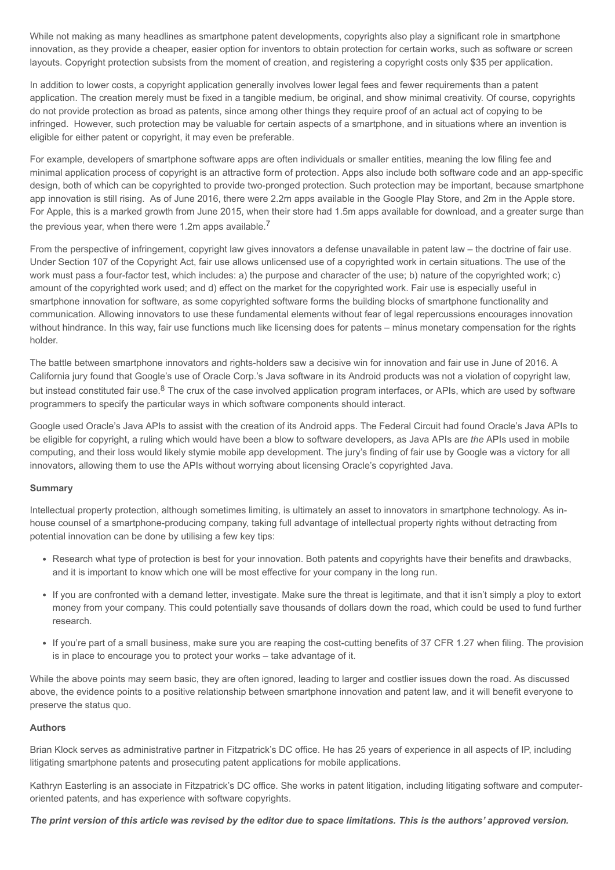While not making as many headlines as smartphone patent developments, copyrights also play a significant role in smartphone innovation, as they provide a cheaper, easier option for inventors to obtain protection for certain works, such as software or screen layouts. Copyright protection subsists from the moment of creation, and registering a copyright costs only \$35 per application.

In addition to lower costs, a copyright application generally involves lower legal fees and fewer requirements than a patent application. The creation merely must be fixed in a tangible medium, be original, and show minimal creativity. Of course, copyrights do not provide protection as broad as patents, since among other things they require proof of an actual act of copying to be infringed. However, such protection may be valuable for certain aspects of a smartphone, and in situations where an invention is eligible for either patent or copyright, it may even be preferable.

For example, developers of smartphone software apps are often individuals or smaller entities, meaning the low filing fee and minimal application process of copyright is an attractive form of protection. Apps also include both software code and an app-specific design, both of which can be copyrighted to provide two-pronged protection. Such protection may be important, because smartphone app innovation is still rising. As of June 2016, there were 2.2m apps available in the Google Play Store, and 2m in the Apple store. For Apple, this is a marked growth from June 2015, when their store had 1.5m apps available for download, and a greater surge than the previous year, when there were 1.2m apps available.<sup>7</sup>

From the perspective of infringement, copyright law gives innovators a defense unavailable in patent law – the doctrine of fair use. Under Section 107 of the Copyright Act, fair use allows unlicensed use of a copyrighted work in certain situations. The use of the work must pass a four-factor test, which includes: a) the purpose and character of the use; b) nature of the copyrighted work; c) amount of the copyrighted work used; and d) effect on the market for the copyrighted work. Fair use is especially useful in smartphone innovation for software, as some copyrighted software forms the building blocks of smartphone functionality and communication. Allowing innovators to use these fundamental elements without fear of legal repercussions encourages innovation without hindrance. In this way, fair use functions much like licensing does for patents – minus monetary compensation for the rights holder.

The battle between smartphone innovators and rights-holders saw a decisive win for innovation and fair use in June of 2016. A California jury found that Google's use of Oracle Corp.'s Java software in its Android products was not a violation of copyright law, but instead constituted fair use.<sup>8</sup> The crux of the case involved application program interfaces, or APIs, which are used by software programmers to specify the particular ways in which software components should interact.

Google used Oracle's Java APIs to assist with the creation of its Android apps. The Federal Circuit had found Oracle's Java APIs to be eligible for copyright, a ruling which would have been a blow to software developers, as Java APIs are *the* APIs used in mobile computing, and their loss would likely stymie mobile app development. The jury's finding of fair use by Google was a victory for all innovators, allowing them to use the APIs without worrying about licensing Oracle's copyrighted Java.

### Summary

Intellectual property protection, although sometimes limiting, is ultimately an asset to innovators in smartphone technology. As inhouse counsel of a smartphone-producing company, taking full advantage of intellectual property rights without detracting from potential innovation can be done by utilising a few key tips:

- Research what type of protection is best for your innovation. Both patents and copyrights have their benefits and drawbacks, and it is important to know which one will be most effective for your company in the long run.
- If you are confronted with a demand letter, investigate. Make sure the threat is legitimate, and that it isn't simply a ploy to extort money from your company. This could potentially save thousands of dollars down the road, which could be used to fund further research.
- If you're part of a small business, make sure you are reaping the cost-cutting benefits of 37 CFR 1.27 when filing. The provision is in place to encourage you to protect your works – take advantage of it.

While the above points may seem basic, they are often ignored, leading to larger and costlier issues down the road. As discussed above, the evidence points to a positive relationship between smartphone innovation and patent law, and it will benefit everyone to preserve the status quo.

### Authors

Brian Klock serves as administrative partner in Fitzpatrick's DC office. He has 25 years of experience in all aspects of IP, including litigating smartphone patents and prosecuting patent applications for mobile applications.

Kathryn Easterling is an associate in Fitzpatrick's DC office. She works in patent litigation, including litigating software and computeroriented patents, and has experience with software copyrights.

The print version of this article was revised by the editor due to space limitations. This is the authors' approved version.